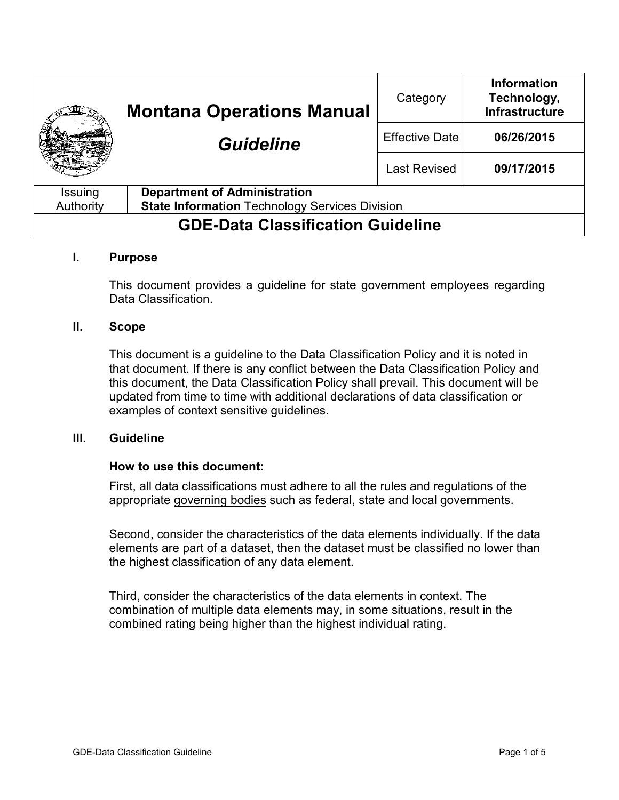|                                          | <b>Montana Operations Manual</b><br><b>Guideline</b>  | Category              | <b>Information</b><br>Technology,<br><b>Infrastructure</b> |
|------------------------------------------|-------------------------------------------------------|-----------------------|------------------------------------------------------------|
|                                          |                                                       | <b>Effective Date</b> | 06/26/2015                                                 |
|                                          |                                                       | <b>Last Revised</b>   | 09/17/2015                                                 |
| Issuing                                  | <b>Department of Administration</b>                   |                       |                                                            |
| Authority                                | <b>State Information Technology Services Division</b> |                       |                                                            |
| <b>GDE-Data Classification Guideline</b> |                                                       |                       |                                                            |

### **I. Purpose**

This document provides a guideline for state government employees regarding Data Classification.

### **II. Scope**

This document is a guideline to the Data Classification Policy and it is noted in that document. If there is any conflict between the Data Classification Policy and this document, the Data Classification Policy shall prevail. This document will be updated from time to time with additional declarations of data classification or examples of context sensitive guidelines.

### **III. Guideline**

### **How to use this document:**

First, all data classifications must adhere to all the rules and regulations of the appropriate governing bodies such as federal, state and local governments.

Second, consider the characteristics of the data elements individually. If the data elements are part of a dataset, then the dataset must be classified no lower than the highest classification of any data element.

Third, consider the characteristics of the data elements in context. The combination of multiple data elements may, in some situations, result in the combined rating being higher than the highest individual rating.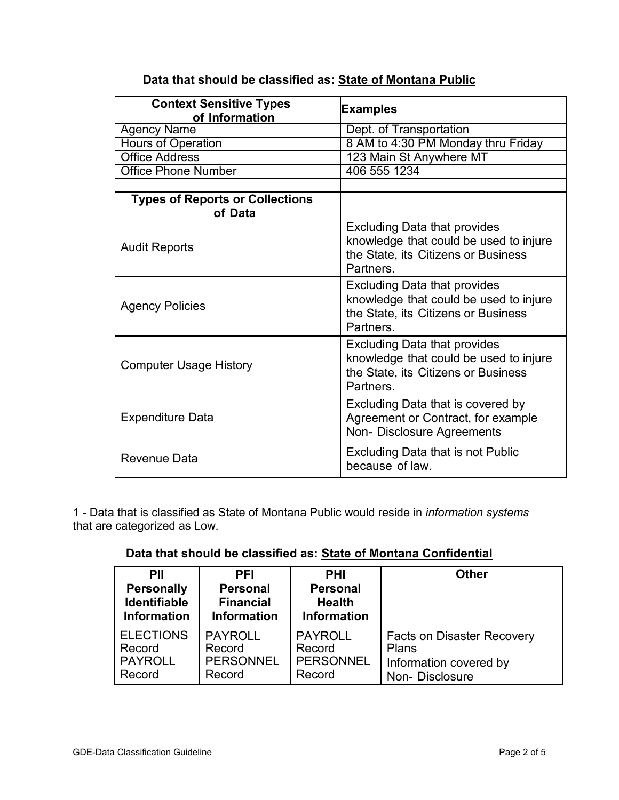| <b>Context Sensitive Types</b><br>of Information  | <b>Examples</b>                                                                                                                   |  |
|---------------------------------------------------|-----------------------------------------------------------------------------------------------------------------------------------|--|
| <b>Agency Name</b>                                | Dept. of Transportation                                                                                                           |  |
| <b>Hours of Operation</b>                         | 8 AM to 4:30 PM Monday thru Friday                                                                                                |  |
| <b>Office Address</b>                             | 123 Main St Anywhere MT                                                                                                           |  |
| <b>Office Phone Number</b>                        | 406 555 1234                                                                                                                      |  |
|                                                   |                                                                                                                                   |  |
| <b>Types of Reports or Collections</b><br>of Data |                                                                                                                                   |  |
| <b>Audit Reports</b>                              | <b>Excluding Data that provides</b><br>knowledge that could be used to injure<br>the State, its Citizens or Business<br>Partners. |  |
| <b>Agency Policies</b>                            | <b>Excluding Data that provides</b><br>knowledge that could be used to injure<br>the State, its Citizens or Business<br>Partners. |  |
| <b>Computer Usage History</b>                     | <b>Excluding Data that provides</b><br>knowledge that could be used to injure<br>the State, its Citizens or Business<br>Partners. |  |
| <b>Expenditure Data</b>                           | Excluding Data that is covered by<br>Agreement or Contract, for example<br>Non-Disclosure Agreements                              |  |
| Revenue Data                                      | Excluding Data that is not Public<br>because of law.                                                                              |  |

# **Data that should be classified as: State of Montana Public**

1 - Data that is classified as State of Montana Public would reside in *information systems*  that are categorized as Low.

### **Data that should be classified as: State of Montana Confidential**

| PII                 | <b>PFI</b>         | <b>PHI</b>         | <b>Other</b>                      |
|---------------------|--------------------|--------------------|-----------------------------------|
| <b>Personally</b>   | <b>Personal</b>    | <b>Personal</b>    |                                   |
| <b>Identifiable</b> | <b>Financial</b>   | <b>Health</b>      |                                   |
| <b>Information</b>  | <b>Information</b> | <b>Information</b> |                                   |
| <b>ELECTIONS</b>    | <b>PAYROLL</b>     | <b>PAYROLL</b>     | <b>Facts on Disaster Recovery</b> |
| Record              | Record             | Record             | Plans                             |
| <b>PAYROLL</b>      | <b>PERSONNEL</b>   | <b>PERSONNEL</b>   | Information covered by            |
| Record              | Record             | Record             | Non-Disclosure                    |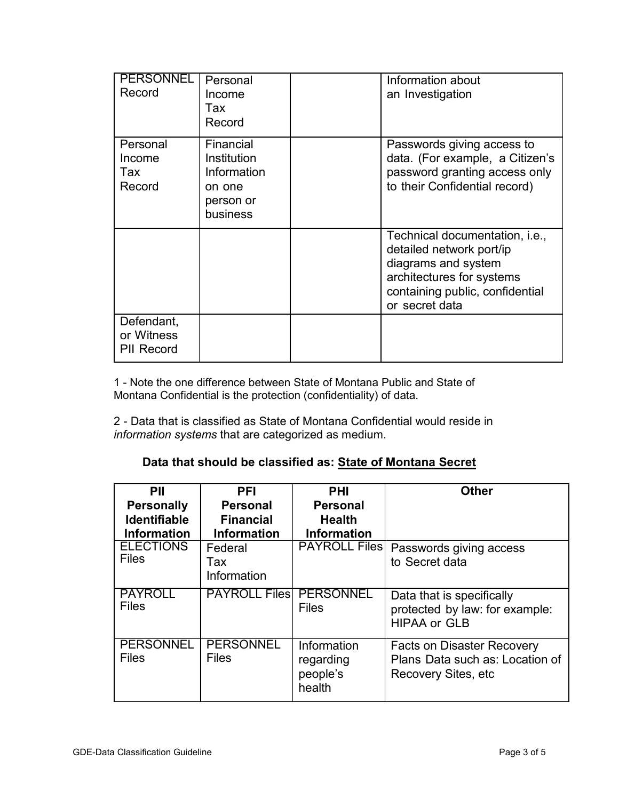| <b>PERSONNEL</b><br>Record                    | Personal<br>Income<br>Tax<br>Record                                        | Information about<br>an Investigation                                                                                                                               |
|-----------------------------------------------|----------------------------------------------------------------------------|---------------------------------------------------------------------------------------------------------------------------------------------------------------------|
| Personal<br>Income<br>Tax<br>Record           | Financial<br>Institution<br>Information<br>on one<br>person or<br>business | Passwords giving access to<br>data. (For example, a Citizen's<br>password granting access only<br>to their Confidential record)                                     |
|                                               |                                                                            | Technical documentation, i.e.,<br>detailed network port/ip<br>diagrams and system<br>architectures for systems<br>containing public, confidential<br>or secret data |
| Defendant,<br>or Witness<br><b>PII Record</b> |                                                                            |                                                                                                                                                                     |

1 - Note the one difference between State of Montana Public and State of Montana Confidential is the protection (confidentiality) of data.

2 - Data that is classified as State of Montana Confidential would reside in *information systems* that are categorized as medium.

## **Data that should be classified as: State of Montana Secret**

| PII                 | <b>PFI</b>           | <b>PHI</b>           | <b>Other</b>                      |
|---------------------|----------------------|----------------------|-----------------------------------|
| <b>Personally</b>   | <b>Personal</b>      | <b>Personal</b>      |                                   |
| <b>Identifiable</b> | <b>Financial</b>     | <b>Health</b>        |                                   |
| <b>Information</b>  | <b>Information</b>   | <b>Information</b>   |                                   |
| <b>ELECTIONS</b>    | Federal              | <b>PAYROLL Files</b> | Passwords giving access           |
| <b>Files</b>        | Tax                  |                      | to Secret data                    |
|                     | Information          |                      |                                   |
| <b>PAYROLL</b>      | <b>PAYROLL Files</b> | <b>PERSONNEL</b>     | Data that is specifically         |
| <b>Files</b>        |                      | <b>Files</b>         | protected by law: for example:    |
|                     |                      |                      | <b>HIPAA or GLB</b>               |
| <b>PERSONNEL</b>    | <b>PERSONNEL</b>     | Information          | <b>Facts on Disaster Recovery</b> |
| <b>Files</b>        | <b>Files</b>         | regarding            | Plans Data such as: Location of   |
|                     |                      | people's             | Recovery Sites, etc.              |
|                     |                      | health               |                                   |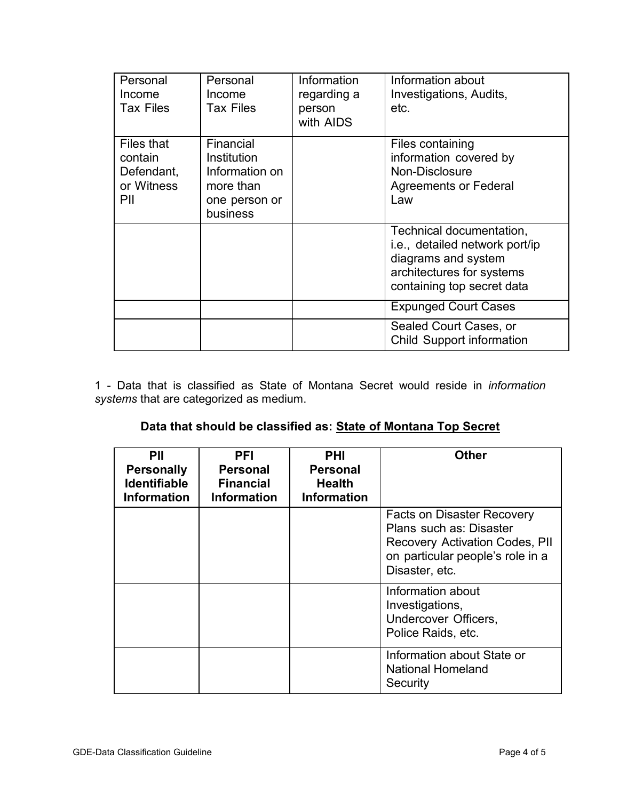| Personal<br>Income<br><b>Tax Files</b>                   | Personal<br>Income<br><b>Tax Files</b>                                               | Information<br>regarding a<br>person<br>with AIDS | Information about<br>Investigations, Audits,<br>etc.                                                                                         |
|----------------------------------------------------------|--------------------------------------------------------------------------------------|---------------------------------------------------|----------------------------------------------------------------------------------------------------------------------------------------------|
| Files that<br>contain<br>Defendant,<br>or Witness<br>PII | Financial<br>Institution<br>Information on<br>more than<br>one person or<br>business |                                                   | Files containing<br>information covered by<br>Non-Disclosure<br><b>Agreements or Federal</b><br>Law                                          |
|                                                          |                                                                                      |                                                   | Technical documentation,<br>i.e., detailed network port/ip<br>diagrams and system<br>architectures for systems<br>containing top secret data |
|                                                          |                                                                                      |                                                   | <b>Expunged Court Cases</b>                                                                                                                  |
|                                                          |                                                                                      |                                                   | Sealed Court Cases, or<br><b>Child Support information</b>                                                                                   |

1 - Data that is classified as State of Montana Secret would reside in *information systems* that are categorized as medium.

## **Data that should be classified as: State of Montana Top Secret**

| PII<br><b>Personally</b><br><b>Identifiable</b><br><b>Information</b> | PFI<br>Personal<br><b>Financial</b><br><b>Information</b> | <b>PHI</b><br>Personal<br><b>Health</b><br><b>Information</b> | Other                                                                                                                                                |
|-----------------------------------------------------------------------|-----------------------------------------------------------|---------------------------------------------------------------|------------------------------------------------------------------------------------------------------------------------------------------------------|
|                                                                       |                                                           |                                                               | Facts on Disaster Recovery<br>Plans such as: Disaster<br><b>Recovery Activation Codes, PII</b><br>on particular people's role in a<br>Disaster, etc. |
|                                                                       |                                                           |                                                               | Information about<br>Investigations,<br>Undercover Officers,<br>Police Raids, etc.                                                                   |
|                                                                       |                                                           |                                                               | Information about State or<br><b>National Homeland</b><br>Security                                                                                   |